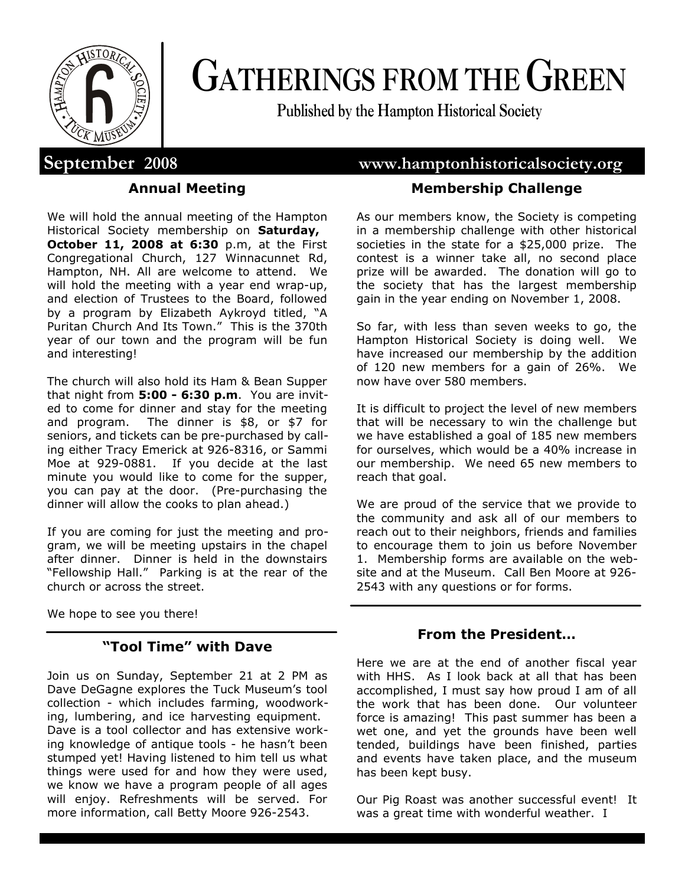

# **GATHERINGS FROM THE GREEN**

**Published by the Hampton Historical Society**

# **Annual Meeting**

We will hold the annual meeting of the Hampton Historical Society membership on **Saturday, October 11, 2008 at 6:30** p.m, at the First Congregational Church, 127 Winnacunnet Rd, Hampton, NH. All are welcome to attend. We will hold the meeting with a year end wrap-up, and election of Trustees to the Board, followed by a program by Elizabeth Aykroyd titled, "A Puritan Church And Its Town." This is the 370th year of our town and the program will be fun and interesting!

The church will also hold its Ham & Bean Supper that night from **5:00 - 6:30 p.m**. You are invited to come for dinner and stay for the meeting and program. The dinner is \$8, or \$7 for seniors, and tickets can be pre-purchased by calling either Tracy Emerick at 926-8316, or Sammi Moe at 929-0881. If you decide at the last minute you would like to come for the supper, you can pay at the door. (Pre-purchasing the dinner will allow the cooks to plan ahead.)

If you are coming for just the meeting and program, we will be meeting upstairs in the chapel after dinner. Dinner is held in the downstairs "Fellowship Hall." Parking is at the rear of the church or across the street.

We hope to see you there!

# **"Tool Time" with Dave**

Join us on Sunday, September 21 at 2 PM as Dave DeGagne explores the Tuck Museum's tool collection - which includes farming, woodworking, lumbering, and ice harvesting equipment. Dave is a tool collector and has extensive working knowledge of antique tools - he hasn't been stumped yet! Having listened to him tell us what things were used for and how they were used, we know we have a program people of all ages will enjoy. Refreshments will be served. For more information, call Betty Moore 926-2543.

# **September 2008 www.hamptonhistoricalsociety.org**

# **Membership Challenge**

As our members know, the Society is competing in a membership challenge with other historical societies in the state for a \$25,000 prize. The contest is a winner take all, no second place prize will be awarded. The donation will go to the society that has the largest membership gain in the year ending on November 1, 2008.

So far, with less than seven weeks to go, the Hampton Historical Society is doing well. We have increased our membership by the addition of 120 new members for a gain of 26%. We now have over 580 members.

It is difficult to project the level of new members that will be necessary to win the challenge but we have established a goal of 185 new members for ourselves, which would be a 40% increase in our membership. We need 65 new members to reach that goal.

We are proud of the service that we provide to the community and ask all of our members to reach out to their neighbors, friends and families to encourage them to join us before November 1. Membership forms are available on the website and at the Museum. Call Ben Moore at 926- 2543 with any questions or for forms.

## **From the President…**

Here we are at the end of another fiscal year with HHS. As I look back at all that has been accomplished, I must say how proud I am of all the work that has been done. Our volunteer force is amazing! This past summer has been a wet one, and yet the grounds have been well tended, buildings have been finished, parties and events have taken place, and the museum has been kept busy.

Our Pig Roast was another successful event! It was a great time with wonderful weather. I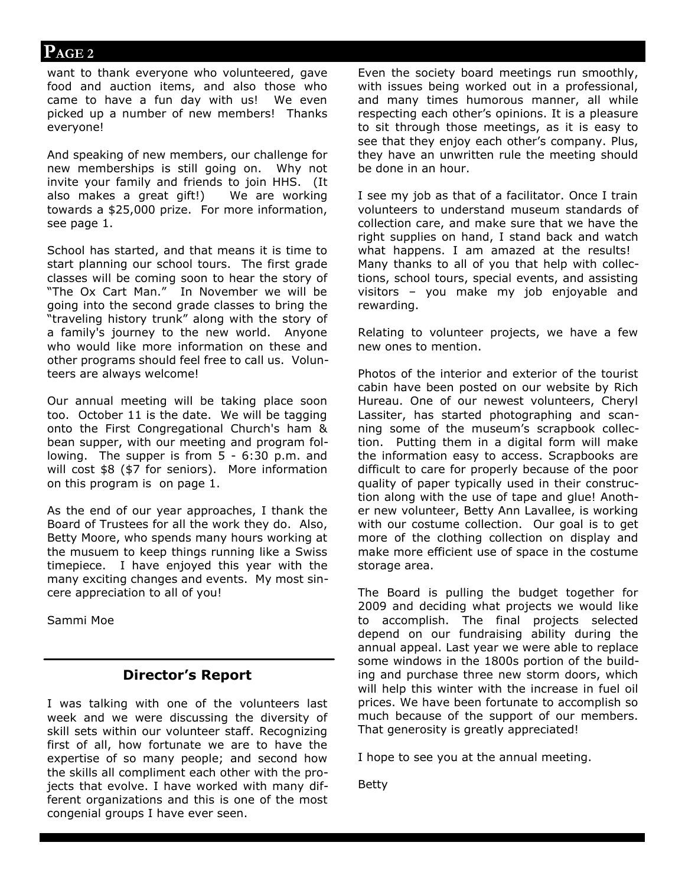want to thank everyone who volunteered, gave food and auction items, and also those who came to have a fun day with us! We even picked up a number of new members! Thanks everyone!

And speaking of new members, our challenge for new memberships is still going on. Why not invite your family and friends to join HHS. (It also makes a great gift!) We are working towards a \$25,000 prize. For more information, see page 1.

School has started, and that means it is time to start planning our school tours. The first grade classes will be coming soon to hear the story of "The Ox Cart Man." In November we will be going into the second grade classes to bring the "traveling history trunk" along with the story of a family's journey to the new world. Anyone who would like more information on these and other programs should feel free to call us. Volunteers are always welcome!

Our annual meeting will be taking place soon too. October 11 is the date. We will be tagging onto the First Congregational Church's ham & bean supper, with our meeting and program following. The supper is from 5 - 6:30 p.m. and will cost \$8 (\$7 for seniors). More information on this program is on page 1.

As the end of our year approaches, I thank the Board of Trustees for all the work they do. Also, Betty Moore, who spends many hours working at the musuem to keep things running like a Swiss timepiece. I have enjoyed this year with the many exciting changes and events. My most sincere appreciation to all of you!

Sammi Moe

# **Director's Report**

I was talking with one of the volunteers last week and we were discussing the diversity of skill sets within our volunteer staff. Recognizing first of all, how fortunate we are to have the expertise of so many people; and second how the skills all compliment each other with the projects that evolve. I have worked with many different organizations and this is one of the most congenial groups I have ever seen.

Even the society board meetings run smoothly, with issues being worked out in a professional, and many times humorous manner, all while respecting each other's opinions. It is a pleasure to sit through those meetings, as it is easy to see that they enjoy each other's company. Plus, they have an unwritten rule the meeting should be done in an hour.

I see my job as that of a facilitator. Once I train volunteers to understand museum standards of collection care, and make sure that we have the right supplies on hand, I stand back and watch what happens. I am amazed at the results! Many thanks to all of you that help with collections, school tours, special events, and assisting visitors – you make my job enjoyable and rewarding.

Relating to volunteer projects, we have a few new ones to mention.

Photos of the interior and exterior of the tourist cabin have been posted on our website by Rich Hureau. One of our newest volunteers, Cheryl Lassiter, has started photographing and scanning some of the museum's scrapbook collection. Putting them in a digital form will make the information easy to access. Scrapbooks are difficult to care for properly because of the poor quality of paper typically used in their construction along with the use of tape and glue! Another new volunteer, Betty Ann Lavallee, is working with our costume collection. Our goal is to get more of the clothing collection on display and make more efficient use of space in the costume storage area.

The Board is pulling the budget together for 2009 and deciding what projects we would like to accomplish. The final projects selected depend on our fundraising ability during the annual appeal. Last year we were able to replace some windows in the 1800s portion of the building and purchase three new storm doors, which will help this winter with the increase in fuel oil prices. We have been fortunate to accomplish so much because of the support of our members. That generosity is greatly appreciated!

I hope to see you at the annual meeting.

Betty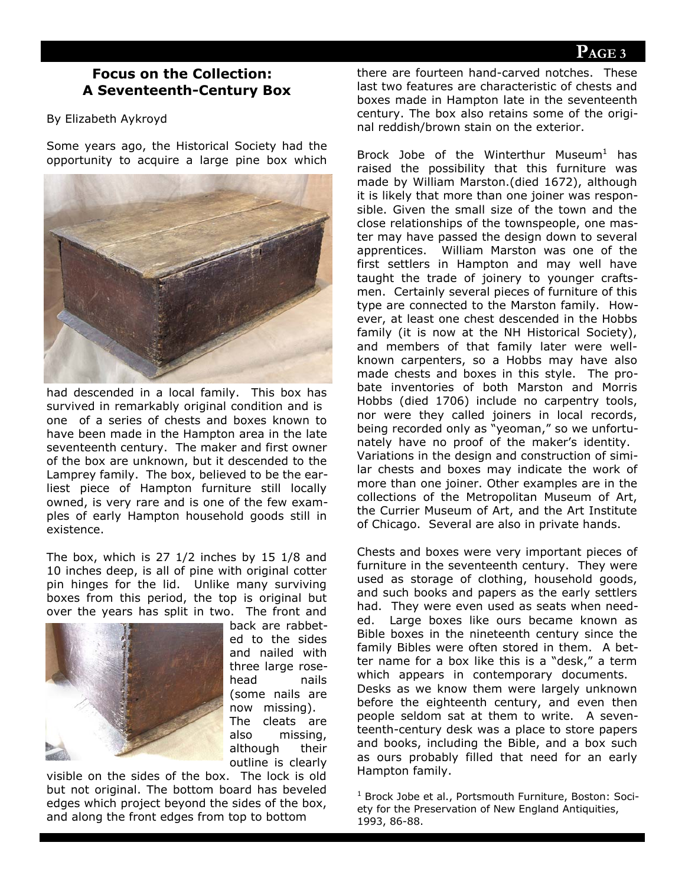# **Focus on the Collection: A Seventeenth-Century Box**

#### By Elizabeth Aykroyd

Some years ago, the Historical Society had the opportunity to acquire a large pine box which



had descended in a local family. This box has survived in remarkably original condition and is one of a series of chests and boxes known to have been made in the Hampton area in the late seventeenth century. The maker and first owner of the box are unknown, but it descended to the Lamprey family. The box, believed to be the earliest piece of Hampton furniture still locally owned, is very rare and is one of the few examples of early Hampton household goods still in existence.

The box, which is 27 1/2 inches by 15 1/8 and 10 inches deep, is all of pine with original cotter pin hinges for the lid. Unlike many surviving boxes from this period, the top is original but over the years has split in two. The front and



back are rabbeted to the sides and nailed with three large rosehead nails (some nails are now missing). The cleats are also missing, although their outline is clearly

visible on the sides of the box. The lock is old but not original. The bottom board has beveled edges which project beyond the sides of the box, and along the front edges from top to bottom

there are fourteen hand-carved notches. These last two features are characteristic of chests and boxes made in Hampton late in the seventeenth century. The box also retains some of the original reddish/brown stain on the exterior.

Brock Jobe of the Winterthur Museum<sup>1</sup> has raised the possibility that this furniture was made by William Marston.(died 1672), although it is likely that more than one joiner was responsible. Given the small size of the town and the close relationships of the townspeople, one master may have passed the design down to several apprentices. William Marston was one of the first settlers in Hampton and may well have taught the trade of joinery to younger craftsmen. Certainly several pieces of furniture of this type are connected to the Marston family. However, at least one chest descended in the Hobbs family (it is now at the NH Historical Society), and members of that family later were wellknown carpenters, so a Hobbs may have also made chests and boxes in this style. The probate inventories of both Marston and Morris Hobbs (died 1706) include no carpentry tools, nor were they called joiners in local records, being recorded only as "yeoman," so we unfortunately have no proof of the maker's identity. Variations in the design and construction of similar chests and boxes may indicate the work of more than one joiner. Other examples are in the collections of the Metropolitan Museum of Art, the Currier Museum of Art, and the Art Institute of Chicago. Several are also in private hands.

Chests and boxes were very important pieces of furniture in the seventeenth century. They were used as storage of clothing, household goods, and such books and papers as the early settlers had. They were even used as seats when needed. Large boxes like ours became known as Bible boxes in the nineteenth century since the family Bibles were often stored in them. A better name for a box like this is a "desk," a term which appears in contemporary documents. Desks as we know them were largely unknown before the eighteenth century, and even then people seldom sat at them to write. A seventeenth-century desk was a place to store papers and books, including the Bible, and a box such as ours probably filled that need for an early Hampton family.

<sup>1</sup> Brock Jobe et al., Portsmouth Furniture, Boston: Society for the Preservation of New England Antiquities, 1993, 86-88.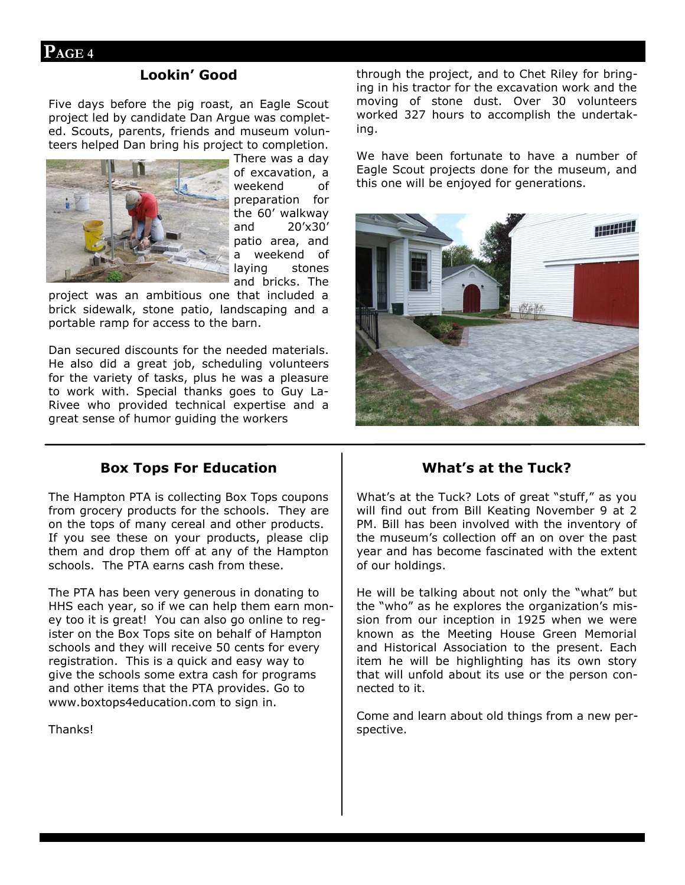## **Lookin' Good**

Five days before the pig roast, an Eagle Scout project led by candidate Dan Argue was completed. Scouts, parents, friends and museum volunteers helped Dan bring his project to completion.



There was a day of excavation, a weekend of preparation for the 60' walkway and 20'x30' patio area, and a weekend of laying stones and bricks. The

project was an ambitious one that included a brick sidewalk, stone patio, landscaping and a portable ramp for access to the barn.

Dan secured discounts for the needed materials. He also did a great job, scheduling volunteers for the variety of tasks, plus he was a pleasure to work with. Special thanks goes to Guy La-Rivee who provided technical expertise and a great sense of humor guiding the workers

through the project, and to Chet Riley for bringing in his tractor for the excavation work and the moving of stone dust. Over 30 volunteers worked 327 hours to accomplish the undertaking.

We have been fortunate to have a number of Eagle Scout projects done for the museum, and this one will be enjoyed for generations.



## **Box Tops For Education**

The Hampton PTA is collecting Box Tops coupons from grocery products for the schools. They are on the tops of many cereal and other products. If you see these on your products, please clip them and drop them off at any of the Hampton schools. The PTA earns cash from these.

The PTA has been very generous in donating to HHS each year, so if we can help them earn money too it is great! You can also go online to register on the Box Tops site on behalf of Hampton schools and they will receive 50 cents for every registration. This is a quick and easy way to give the schools some extra cash for programs and other items that the PTA provides. Go to www.boxtops4education.com to sign in.

**Thanks!** 

## **What's at the Tuck?**

What's at the Tuck? Lots of great "stuff," as you will find out from Bill Keating November 9 at 2 PM. Bill has been involved with the inventory of the museum's collection off an on over the past year and has become fascinated with the extent of our holdings.

He will be talking about not only the "what" but the "who" as he explores the organization's mission from our inception in 1925 when we were known as the Meeting House Green Memorial and Historical Association to the present. Each item he will be highlighting has its own story that will unfold about its use or the person connected to it.

Come and learn about old things from a new perspective.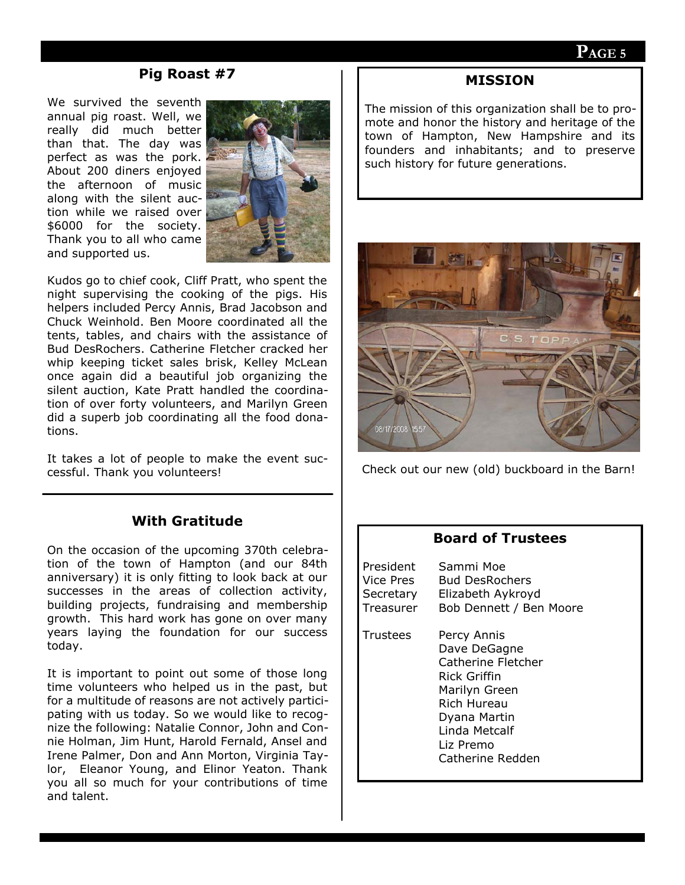## **Pig Roast #7**

We survived the seventh annual pig roast. Well, we really did much better than that. The day was perfect as was the pork. About 200 diners enjoyed the afternoon of music along with the silent auction while we raised over \$6000 for the society. Thank you to all who came and supported us.



Kudos go to chief cook, Cliff Pratt, who spent the night supervising the cooking of the pigs. His helpers included Percy Annis, Brad Jacobson and Chuck Weinhold. Ben Moore coordinated all the tents, tables, and chairs with the assistance of Bud DesRochers. Catherine Fletcher cracked her whip keeping ticket sales brisk, Kelley McLean once again did a beautiful job organizing the silent auction, Kate Pratt handled the coordination of over forty volunteers, and Marilyn Green did a superb job coordinating all the food donations.

It takes a lot of people to make the event successful. Thank you volunteers!

# **With Gratitude**

On the occasion of the upcoming 370th celebration of the town of Hampton (and our 84th anniversary) it is only fitting to look back at our successes in the areas of collection activity, building projects, fundraising and membership growth. This hard work has gone on over many years laying the foundation for our success today.

It is important to point out some of those long time volunteers who helped us in the past, but for a multitude of reasons are not actively participating with us today. So we would like to recognize the following: Natalie Connor, John and Connie Holman, Jim Hunt, Harold Fernald, Ansel and Irene Palmer, Don and Ann Morton, Virginia Taylor, Eleanor Young, and Elinor Yeaton. Thank you all so much for your contributions of time and talent.

#### **MISSION**

The mission of this organization shall be to promote and honor the history and heritage of the town of Hampton, New Hampshire and its founders and inhabitants; and to preserve such history for future generations.



Check out our new (old) buckboard in the Barn!

#### **Board of Trustees**

| President | Sammi Moe                                                                                                                                                                  |
|-----------|----------------------------------------------------------------------------------------------------------------------------------------------------------------------------|
| Vice Pres | <b>Bud DesRochers</b>                                                                                                                                                      |
| Secretary | Elizabeth Aykroyd                                                                                                                                                          |
| Treasurer | Bob Dennett / Ben Moore                                                                                                                                                    |
| Trustees  | Percy Annis<br>Dave DeGagne<br>Catherine Fletcher<br>Rick Griffin<br>Marilyn Green<br><b>Rich Hureau</b><br>Dyana Martin<br>Linda Metcalf<br>Liz Premo<br>Catherine Redden |